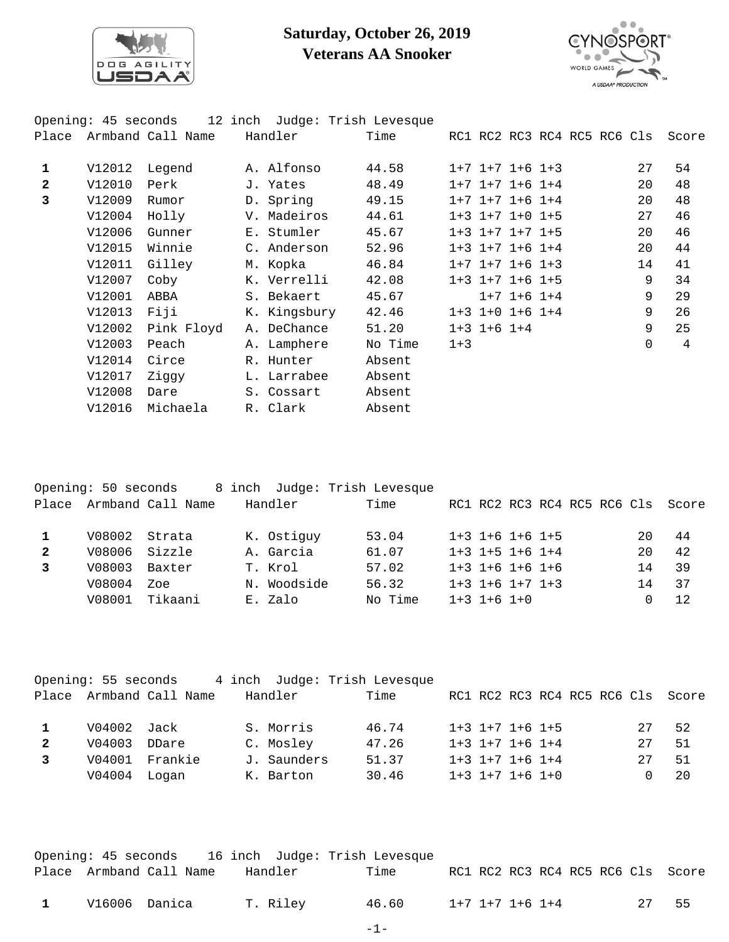

## **Saturday, October 26, 2019 Veterans AA Snooker**



|              | Opening: 45 seconds | 12 inch           | Judge: Trish Levesque |         |         |                         |                   |                             |          |       |
|--------------|---------------------|-------------------|-----------------------|---------|---------|-------------------------|-------------------|-----------------------------|----------|-------|
| Place        |                     | Armband Call Name | Handler               | Time    |         |                         |                   | RC1 RC2 RC3 RC4 RC5 RC6 Cls |          | Score |
| 1            | V12012              | Legend            | A. Alfonso            | 44.58   |         | $1+7$ $1+7$ $1+6$ $1+3$ |                   |                             | 27       | 54    |
| $\mathbf{2}$ | V12010              | Perk              | J. Yates              | 48.49   |         | $1+7$ $1+7$ $1+6$ $1+4$ |                   |                             | 20       | 48    |
| 3            | V12009              | Rumor             | D. Spring             | 49.15   |         | $1+7$ $1+7$ $1+6$ $1+4$ |                   |                             | 20       | 48    |
|              | V12004              | Holly             | V. Madeiros           | 44.61   |         | $1+3$ $1+7$ $1+0$ $1+5$ |                   |                             | 27       | 46    |
|              | V12006              | Gunner            | E. Stumler            | 45.67   |         | $1+3$ $1+7$ $1+7$ $1+5$ |                   |                             | 20       | 46    |
|              | V12015              | Winnie            | C. Anderson           | 52.96   |         | $1+3$ $1+7$ $1+6$ $1+4$ |                   |                             | 20       | 44    |
|              | V12011              | Gilley            | M. Kopka              | 46.84   |         | $1+7$ $1+7$ $1+6$ $1+3$ |                   |                             | 14       | 41    |
|              | V12007              | Coby              | K. Verrelli           | 42.08   |         | $1+3$ $1+7$ $1+6$ $1+5$ |                   |                             | 9        | 34    |
|              | V12001              | ABBA              | S. Bekaert            | 45.67   |         |                         | $1+7$ $1+6$ $1+4$ |                             | 9        | 29    |
|              | V12013              | Fiji              | K. Kingsbury          | 42.46   |         | $1+3$ $1+0$ $1+6$ $1+4$ |                   |                             | 9        | 26    |
|              | V12002              | Pink Floyd        | A. DeChance           | 51.20   |         | $1+3$ $1+6$ $1+4$       |                   |                             | 9        | 25    |
|              | V12003              | Peach             | A. Lamphere           | No Time | $1 + 3$ |                         |                   |                             | $\Omega$ | 4     |
|              | V12014              | Circe             | R. Hunter             | Absent  |         |                         |                   |                             |          |       |
|              | V12017              | Ziggy             | L. Larrabee           | Absent  |         |                         |                   |                             |          |       |
|              | V12008              | Dare              | S. Cossart            | Absent  |         |                         |                   |                             |          |       |
|              | V12016              | Michaela          | R. Clark              | Absent  |         |                         |                   |                             |          |       |
|              |                     |                   |                       |         |         |                         |                   |                             |          |       |

|              | Opening: 50 seconds |                   |             | 8 inch Judge: Trish Levesque |  |                         |  |    |                                   |
|--------------|---------------------|-------------------|-------------|------------------------------|--|-------------------------|--|----|-----------------------------------|
| Place        |                     | Armband Call Name | Handler     | Time                         |  |                         |  |    | RC1 RC2 RC3 RC4 RC5 RC6 Cls Score |
|              |                     |                   |             |                              |  |                         |  |    |                                   |
|              | V08002              | Strata            | K. Ostiguy  | 53.04                        |  | $1+3$ $1+6$ $1+6$ $1+5$ |  | 20 | 44                                |
| $\mathbf{2}$ | V08006 Sizzle       |                   | A. Garcia   | 61.07                        |  | $1+3$ $1+5$ $1+6$ $1+4$ |  | 20 | 42                                |
|              | V08003              | Baxter            | T. Krol     | 57.02                        |  | $1+3$ $1+6$ $1+6$ $1+6$ |  | 14 | 39                                |
|              | V08004              | Zoe               | N. Woodside | 56.32                        |  | $1+3$ $1+6$ $1+7$ $1+3$ |  | 14 | 37                                |
|              | V08001              | Tikaani           | E. Zalo     | No Time                      |  | $1+3$ $1+6$ $1+0$       |  |    | 12                                |

| RC1 RC2 RC3 RC4 RC5 RC6 Cls Score |
|-----------------------------------|
|                                   |
|                                   |
| 52                                |
| 51                                |
| 51                                |
| 20                                |
|                                   |

|              |                         |  |          | Opening: 45 seconds    16 inch  Judge: Trish Levesque |                 |  |  |    |                                   |
|--------------|-------------------------|--|----------|-------------------------------------------------------|-----------------|--|--|----|-----------------------------------|
|              | Place Armband Call Name |  | Handler  | Time                                                  |                 |  |  |    | RC1 RC2 RC3 RC4 RC5 RC6 Cls Score |
| $\mathbf{1}$ | V16006 Danica           |  | T. Riley | 46.60                                                 | 1+7 1+7 1+6 1+4 |  |  | 27 | 55                                |